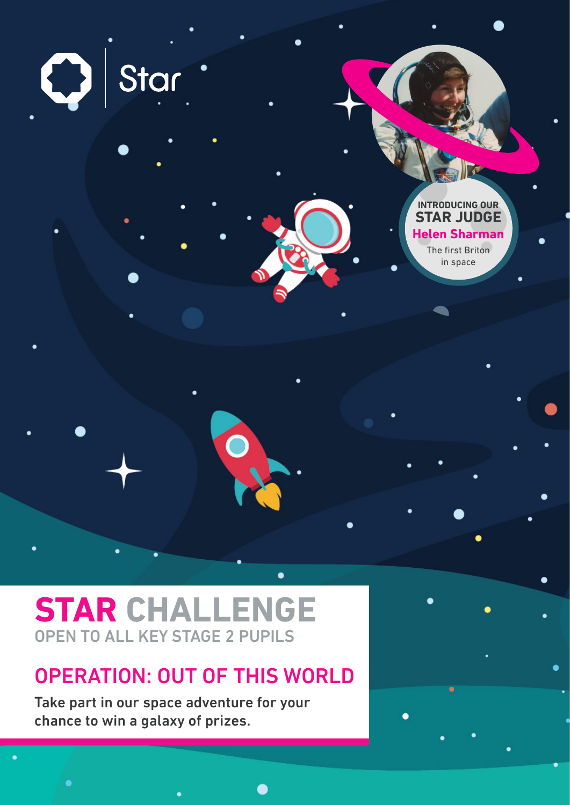$\bigcirc$  Star **INTRODUCING OUR STAR JUDGE Helen Sharman** The first Briton in space

# **STAR CHALLENGE** OPEN TO ALL KEY STAGE 2 PUPILS

## OPERATION: OUT OF THIS WORLD

Take part in our space adventure for your chance to win a galaxy of prizes.